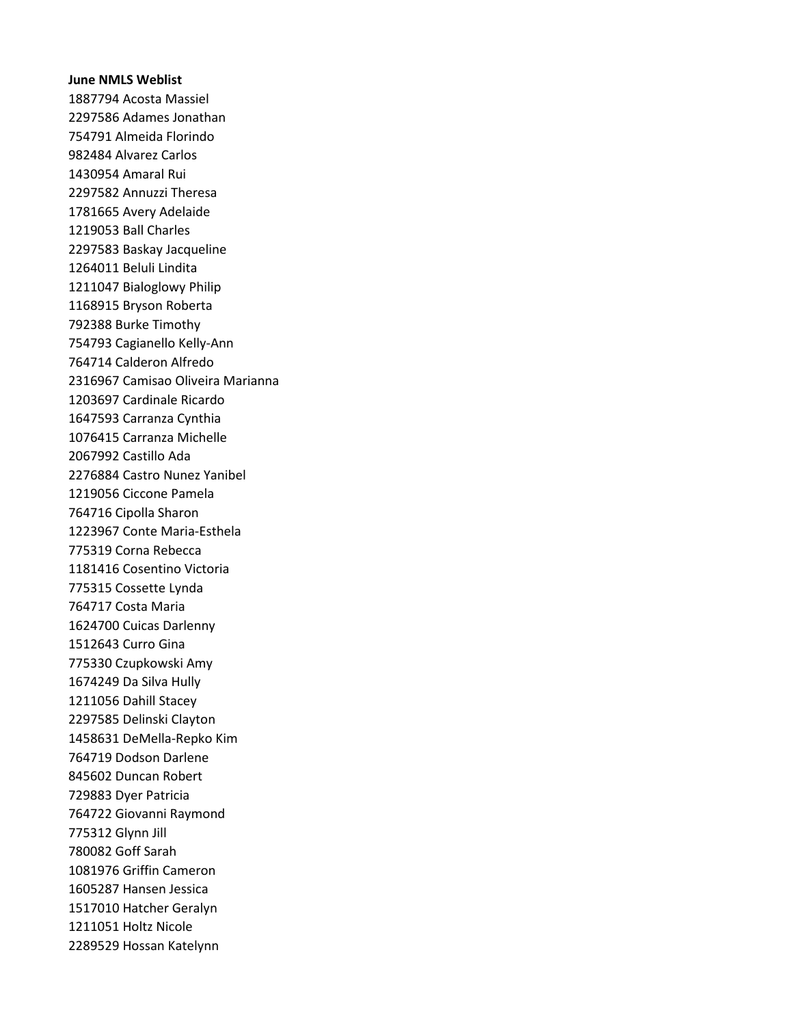## **June NMLS Weblist**

1887794 Acosta Massiel 2297586 Adames Jonathan 754791 Almeida Florindo 982484 Alvarez Carlos 1430954 Amaral Rui 2297582 Annuzzi Theresa 1781665 Avery Adelaide 1219053 Ball Charles 2297583 Baskay Jacqueline 1264011 Beluli Lindita 1211047 Bialoglowy Philip 1168915 Bryson Roberta 792388 Burke Timothy 754793 Cagianello Kelly-Ann 764714 Calderon Alfredo 2316967 Camisao Oliveira Marianna 1203697 Cardinale Ricardo 1647593 Carranza Cynthia 1076415 Carranza Michelle 2067992 Castillo Ada 2276884 Castro Nunez Yanibel 1219056 Ciccone Pamela 764716 Cipolla Sharon 1223967 Conte Maria-Esthela 775319 Corna Rebecca 1181416 Cosentino Victoria 775315 Cossette Lynda 764717 Costa Maria 1624700 Cuicas Darlenny 1512643 Curro Gina 775330 Czupkowski Amy 1674249 Da Silva Hully 1211056 Dahill Stacey 2297585 Delinski Clayton 1458631 DeMella-Repko Kim 764719 Dodson Darlene 845602 Duncan Robert 729883 Dyer Patricia 764722 Giovanni Raymond 775312 Glynn Jill 780082 Goff Sarah 1081976 Griffin Cameron 1605287 Hansen Jessica 1517010 Hatcher Geralyn 1211051 Holtz Nicole 2289529 Hossan Katelynn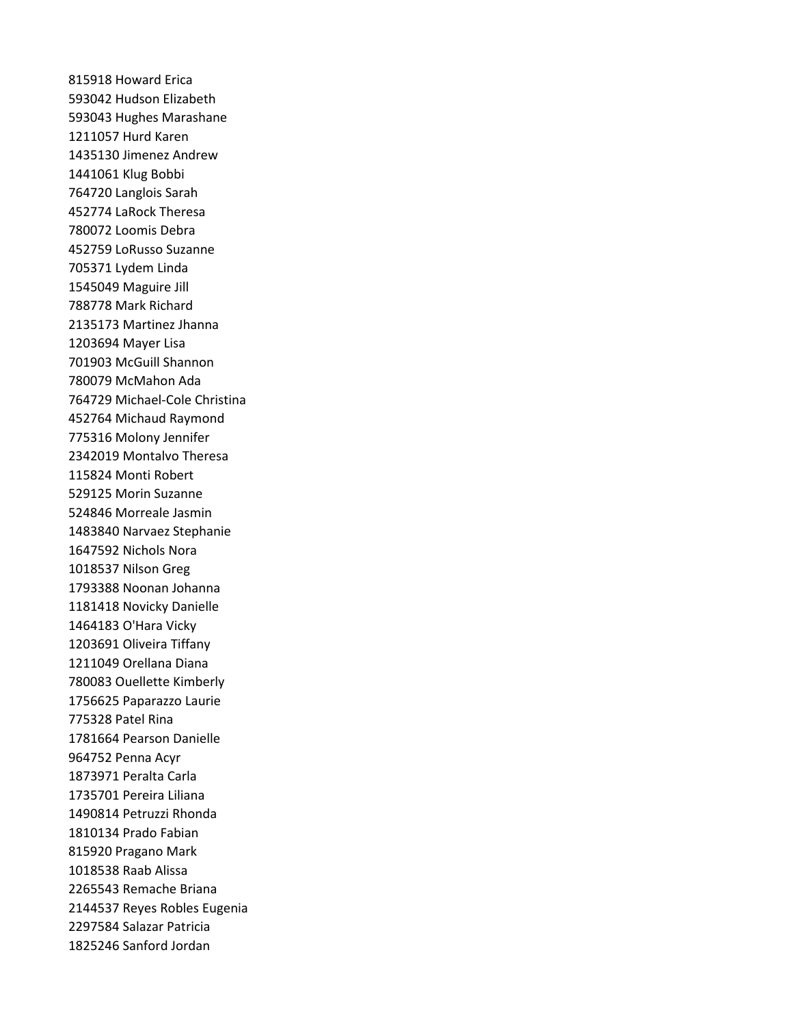815918 Howard Erica 593042 Hudson Elizabeth 593043 Hughes Marashane 1211057 Hurd Karen 1435130 Jimenez Andrew 1441061 Klug Bobbi 764720 Langlois Sarah 452774 LaRock Theresa 780072 Loomis Debra 452759 LoRusso Suzanne 705371 Lydem Linda 1545049 Maguire Jill 788778 Mark Richard 2135173 Martinez Jhanna 1203694 Mayer Lisa 701903 McGuill Shannon 780079 McMahon Ada 764729 Michael-Cole Christina 452764 Michaud Raymond 775316 Molony Jennifer 2342019 Montalvo Theresa 115824 Monti Robert 529125 Morin Suzanne 524846 Morreale Jasmin 1483840 Narvaez Stephanie 1647592 Nichols Nora 1018537 Nilson Greg 1793388 Noonan Johanna 1181418 Novicky Danielle 1464183 O'Hara Vicky 1203691 Oliveira Tiffany 1211049 Orellana Diana 780083 Ouellette Kimberly 1756625 Paparazzo Laurie 775328 Patel Rina 1781664 Pearson Danielle 964752 Penna Acyr 1873971 Peralta Carla 1735701 Pereira Liliana 1490814 Petruzzi Rhonda 1810134 Prado Fabian 815920 Pragano Mark 1018538 Raab Alissa 2265543 Remache Briana 2144537 Reyes Robles Eugenia 2297584 Salazar Patricia 1825246 Sanford Jordan